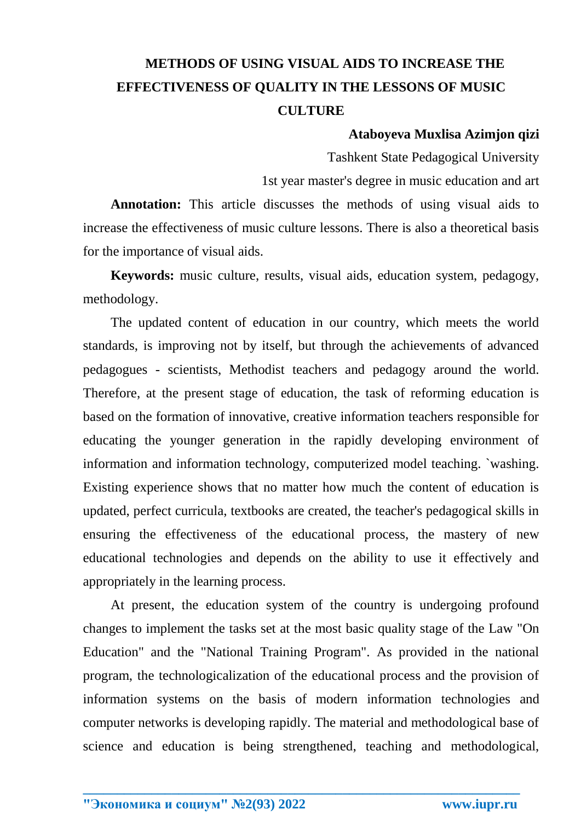## **METHODS OF USING VISUAL AIDS TO INCREASE THE EFFECTIVENESS OF QUALITY IN THE LESSONS OF MUSIC CULTURE**

## **Ataboyeva Muxlisa Azimjon qizi**

Tashkent State Pedagogical University

1st year master's degree in music education and art

**Annotation:** This article discusses the methods of using visual aids to increase the effectiveness of music culture lessons. There is also a theoretical basis for the importance of visual aids.

**Keywords:** music culture, results, visual aids, education system, pedagogy, methodology.

The updated content of education in our country, which meets the world standards, is improving not by itself, but through the achievements of advanced pedagogues - scientists, Methodist teachers and pedagogy around the world. Therefore, at the present stage of education, the task of reforming education is based on the formation of innovative, creative information teachers responsible for educating the younger generation in the rapidly developing environment of information and information technology, computerized model teaching. `washing. Existing experience shows that no matter how much the content of education is updated, perfect curricula, textbooks are created, the teacher's pedagogical skills in ensuring the effectiveness of the educational process, the mastery of new educational technologies and depends on the ability to use it effectively and appropriately in the learning process.

At present, the education system of the country is undergoing profound changes to implement the tasks set at the most basic quality stage of the Law "On Education" and the "National Training Program". As provided in the national program, the technologicalization of the educational process and the provision of information systems on the basis of modern information technologies and computer networks is developing rapidly. The material and methodological base of science and education is being strengthened, teaching and methodological,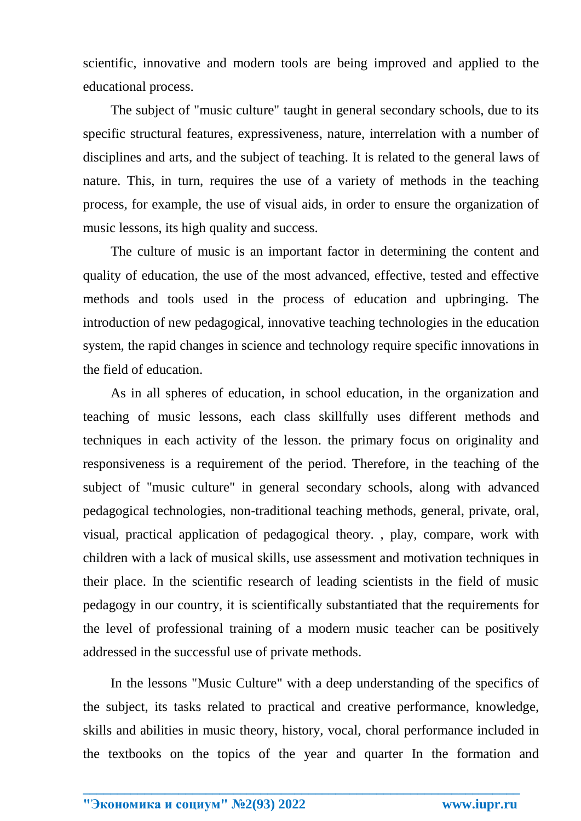scientific, innovative and modern tools are being improved and applied to the educational process.

The subject of "music culture" taught in general secondary schools, due to its specific structural features, expressiveness, nature, interrelation with a number of disciplines and arts, and the subject of teaching. It is related to the general laws of nature. This, in turn, requires the use of a variety of methods in the teaching process, for example, the use of visual aids, in order to ensure the organization of music lessons, its high quality and success.

The culture of music is an important factor in determining the content and quality of education, the use of the most advanced, effective, tested and effective methods and tools used in the process of education and upbringing. The introduction of new pedagogical, innovative teaching technologies in the education system, the rapid changes in science and technology require specific innovations in the field of education.

As in all spheres of education, in school education, in the organization and teaching of music lessons, each class skillfully uses different methods and techniques in each activity of the lesson. the primary focus on originality and responsiveness is a requirement of the period. Therefore, in the teaching of the subject of "music culture" in general secondary schools, along with advanced pedagogical technologies, non-traditional teaching methods, general, private, oral, visual, practical application of pedagogical theory. , play, compare, work with children with a lack of musical skills, use assessment and motivation techniques in their place. In the scientific research of leading scientists in the field of music pedagogy in our country, it is scientifically substantiated that the requirements for the level of professional training of a modern music teacher can be positively addressed in the successful use of private methods.

In the lessons "Music Culture" with a deep understanding of the specifics of the subject, its tasks related to practical and creative performance, knowledge, skills and abilities in music theory, history, vocal, choral performance included in the textbooks on the topics of the year and quarter In the formation and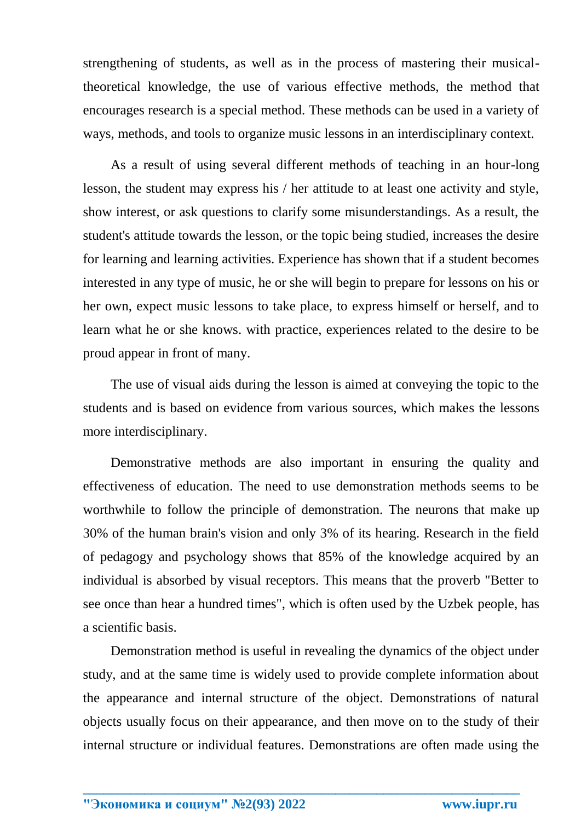strengthening of students, as well as in the process of mastering their musicaltheoretical knowledge, the use of various effective methods, the method that encourages research is a special method. These methods can be used in a variety of ways, methods, and tools to organize music lessons in an interdisciplinary context.

As a result of using several different methods of teaching in an hour-long lesson, the student may express his / her attitude to at least one activity and style, show interest, or ask questions to clarify some misunderstandings. As a result, the student's attitude towards the lesson, or the topic being studied, increases the desire for learning and learning activities. Experience has shown that if a student becomes interested in any type of music, he or she will begin to prepare for lessons on his or her own, expect music lessons to take place, to express himself or herself, and to learn what he or she knows. with practice, experiences related to the desire to be proud appear in front of many.

The use of visual aids during the lesson is aimed at conveying the topic to the students and is based on evidence from various sources, which makes the lessons more interdisciplinary.

Demonstrative methods are also important in ensuring the quality and effectiveness of education. The need to use demonstration methods seems to be worthwhile to follow the principle of demonstration. The neurons that make up 30% of the human brain's vision and only 3% of its hearing. Research in the field of pedagogy and psychology shows that 85% of the knowledge acquired by an individual is absorbed by visual receptors. This means that the proverb "Better to see once than hear a hundred times", which is often used by the Uzbek people, has a scientific basis.

Demonstration method is useful in revealing the dynamics of the object under study, and at the same time is widely used to provide complete information about the appearance and internal structure of the object. Demonstrations of natural objects usually focus on their appearance, and then move on to the study of their internal structure or individual features. Demonstrations are often made using the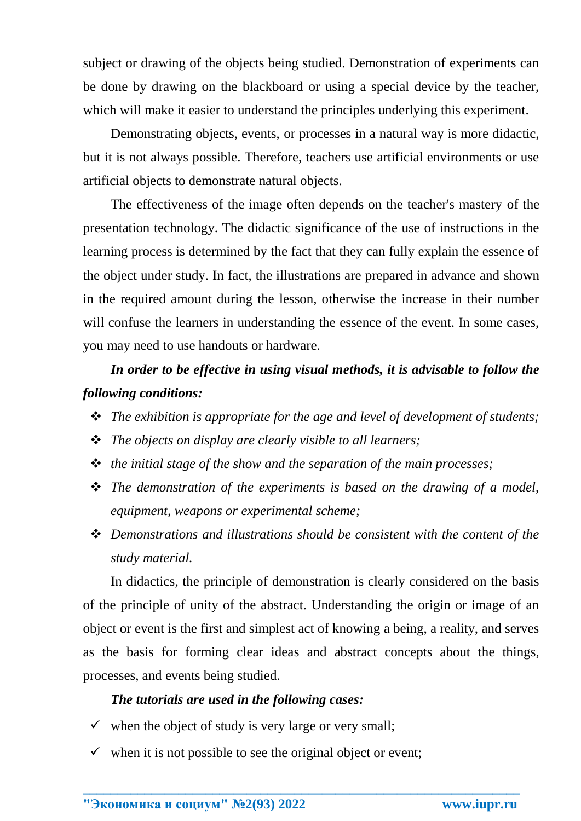subject or drawing of the objects being studied. Demonstration of experiments can be done by drawing on the blackboard or using a special device by the teacher, which will make it easier to understand the principles underlying this experiment.

Demonstrating objects, events, or processes in a natural way is more didactic, but it is not always possible. Therefore, teachers use artificial environments or use artificial objects to demonstrate natural objects.

The effectiveness of the image often depends on the teacher's mastery of the presentation technology. The didactic significance of the use of instructions in the learning process is determined by the fact that they can fully explain the essence of the object under study. In fact, the illustrations are prepared in advance and shown in the required amount during the lesson, otherwise the increase in their number will confuse the learners in understanding the essence of the event. In some cases, you may need to use handouts or hardware.

*In order to be effective in using visual methods, it is advisable to follow the following conditions:*

- *The exhibition is appropriate for the age and level of development of students;*
- *The objects on display are clearly visible to all learners;*
- *the initial stage of the show and the separation of the main processes;*
- *The demonstration of the experiments is based on the drawing of a model, equipment, weapons or experimental scheme;*
- *Demonstrations and illustrations should be consistent with the content of the study material.*

In didactics, the principle of demonstration is clearly considered on the basis of the principle of unity of the abstract. Understanding the origin or image of an object or event is the first and simplest act of knowing a being, a reality, and serves as the basis for forming clear ideas and abstract concepts about the things, processes, and events being studied.

**\_\_\_\_\_\_\_\_\_\_\_\_\_\_\_\_\_\_\_\_\_\_\_\_\_\_\_\_\_\_\_\_\_\_\_\_\_\_\_\_\_\_\_\_\_\_\_\_\_\_\_\_\_\_\_\_\_\_\_\_\_\_\_\_**

## *The tutorials are used in the following cases:*

- $\checkmark$  when the object of study is very large or very small;
- $\checkmark$  when it is not possible to see the original object or event;